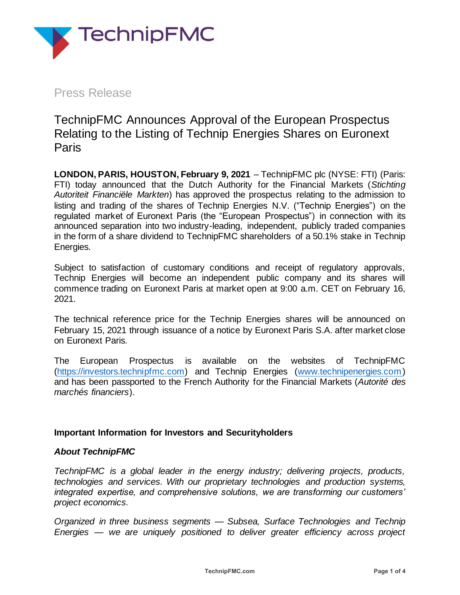

Press Release

TechnipFMC Announces Approval of the European Prospectus Relating to the Listing of Technip Energies Shares on Euronext Paris

**LONDON, PARIS, HOUSTON, February 9, 2021** – TechnipFMC plc (NYSE: FTI) (Paris: FTI) today announced that the Dutch Authority for the Financial Markets (*Stichting Autoriteit Financiële Markten*) has approved the prospectus relating to the admission to listing and trading of the shares of Technip Energies N.V. ("Technip Energies") on the regulated market of Euronext Paris (the "European Prospectus") in connection with its announced separation into two industry-leading, independent, publicly traded companies in the form of a share dividend to TechnipFMC shareholders of a 50.1% stake in Technip Energies.

Subject to satisfaction of customary conditions and receipt of regulatory approvals, Technip Energies will become an independent public company and its shares will commence trading on Euronext Paris at market open at 9:00 a.m. CET on February 16, 2021.

The technical reference price for the Technip Energies shares will be announced on February 15, 2021 through issuance of a notice by Euronext Paris S.A. after market close on Euronext Paris.

The European Prospectus is available on the websites of TechnipFMC [\(https://investors.technipfmc.com\)](https://investors.technipfmc.com/) and Technip Energies [\(www.technipenergies.com\)](http://www.technipenergies.com/) and has been passported to the French Authority for the Financial Markets (*Autorité des marchés financiers*).

# **Important Information for Investors and Securityholders**

## *About TechnipFMC*

*TechnipFMC is a global leader in the energy industry; delivering projects, products, technologies and services. With our proprietary technologies and production systems, integrated expertise, and comprehensive solutions, we are transforming our customers' project economics.*

*Organized in three business segments — Subsea, Surface Technologies and Technip Energies — we are uniquely positioned to deliver greater efficiency across project*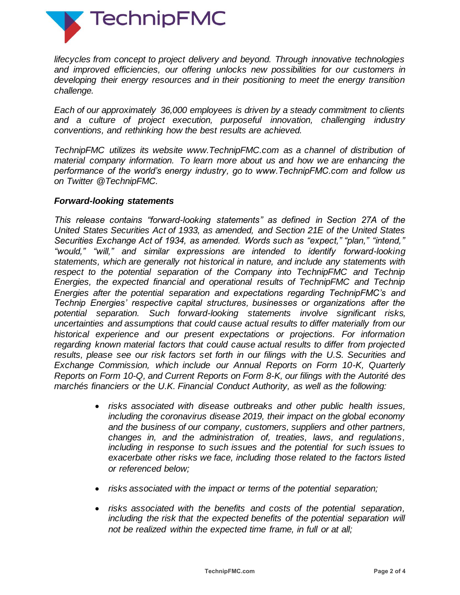

*lifecycles from concept to project delivery and beyond. Through innovative technologies and improved efficiencies, our offering unlocks new possibilities for our customers in developing their energy resources and in their positioning to meet the energy transition challenge.*

*Each of our approximately 36,000 employees is driven by a steady commitment to clients and a culture of project execution, purposeful innovation, challenging industry conventions, and rethinking how the best results are achieved.*

*TechnipFMC utilizes its website www.TechnipFMC.com as a channel of distribution of material company information. To learn more about us and how we are enhancing the performance of the world's energy industry, go to www.TechnipFMC.com and follow us on Twitter @TechnipFMC.*

## *Forward-looking statements*

*This release contains "forward-looking statements" as defined in Section 27A of the United States Securities Act of 1933, as amended, and Section 21E of the United States Securities Exchange Act of 1934, as amended. Words such as "expect," "plan," "intend," "would," "will," and similar expressions are intended to identify forward-looking statements, which are generally not historical in nature, and include any statements with respect to the potential separation of the Company into TechnipFMC and Technip Energies, the expected financial and operational results of TechnipFMC and Technip Energies after the potential separation and expectations regarding TechnipFMC's and Technip Energies' respective capital structures, businesses or organizations after the potential separation. Such forward-looking statements involve significant risks, uncertainties and assumptions that could cause actual results to differ materially from our historical experience and our present expectations or projections. For information regarding known material factors that could cause actual results to differ from projected results, please see our risk factors set forth in our filings with the U.S. Securities and Exchange Commission, which include our Annual Reports on Form 10-K, Quarterly Reports on Form 10-Q, and Current Reports on Form 8-K, our filings with the Autorité des marchés financiers or the U.K. Financial Conduct Authority, as well as the following:*

- *risks associated with disease outbreaks and other public health issues, including the coronavirus disease 2019, their impact on the global economy and the business of our company, customers, suppliers and other partners, changes in, and the administration of, treaties, laws, and regulations, including in response to such issues and the potential for such issues to exacerbate other risks we face, including those related to the factors listed or referenced below;*
- *risks associated with the impact or terms of the potential separation;*
- *risks associated with the benefits and costs of the potential separation, including the risk that the expected benefits of the potential separation will not be realized within the expected time frame, in full or at all;*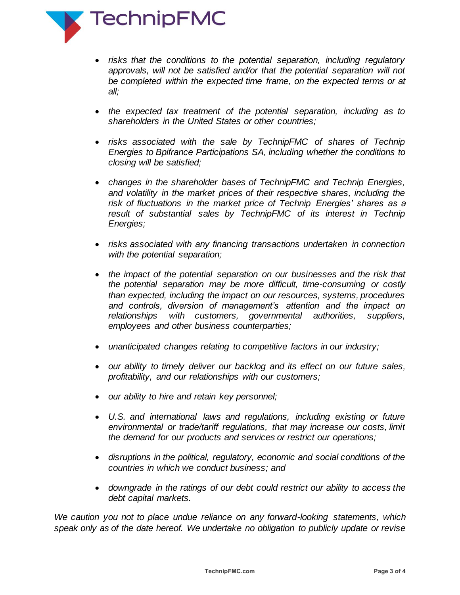

- *risks that the conditions to the potential separation, including regulatory approvals, will not be satisfied and/or that the potential separation will not be completed within the expected time frame, on the expected terms or at all;*
- *the expected tax treatment of the potential separation, including as to shareholders in the United States or other countries;*
- *risks associated with the sale by TechnipFMC of shares of Technip Energies to Bpifrance Participations SA, including whether the conditions to closing will be satisfied;*
- *changes in the shareholder bases of TechnipFMC and Technip Energies, and volatility in the market prices of their respective shares, including the risk of fluctuations in the market price of Technip Energies' shares as a result of substantial sales by TechnipFMC of its interest in Technip Energies;*
- *risks associated with any financing transactions undertaken in connection with the potential separation;*
- the impact of the potential separation on our businesses and the risk that *the potential separation may be more difficult, time-consuming or costly than expected, including the impact on our resources, systems, procedures and controls, diversion of management's attention and the impact on relationships with customers, governmental authorities, suppliers, employees and other business counterparties;*
- *unanticipated changes relating to competitive factors in our industry;*
- *our ability to timely deliver our backlog and its effect on our future sales, profitability, and our relationships with our customers;*
- *our ability to hire and retain key personnel;*
- *U.S. and international laws and regulations, including existing or future environmental or trade/tariff regulations, that may increase our costs, limit the demand for our products and services or restrict our operations;*
- *disruptions in the political, regulatory, economic and social conditions of the countries in which we conduct business; and*
- *downgrade in the ratings of our debt could restrict our ability to access the debt capital markets.*

*We caution you not to place undue reliance on any forward-looking statements, which speak only as of the date hereof. We undertake no obligation to publicly update or revise*